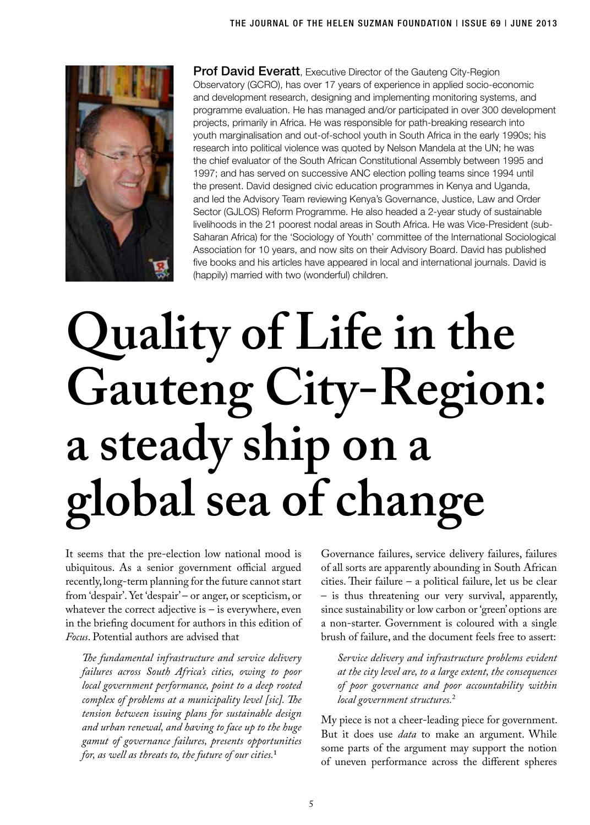

**Prof David Everatt**, Executive Director of the Gauteng City-Region Observatory (GCRO), has over 17 years of experience in applied socio-economic and development research, designing and implementing monitoring systems, and programme evaluation. He has managed and/or participated in over 300 development projects, primarily in Africa. He was responsible for path-breaking research into youth marginalisation and out-of-school youth in South Africa in the early 1990s; his research into political violence was quoted by Nelson Mandela at the UN; he was the chief evaluator of the South African Constitutional Assembly between 1995 and 1997; and has served on successive ANC election polling teams since 1994 until the present. David designed civic education programmes in Kenya and Uganda, and led the Advisory Team reviewing Kenya's Governance, Justice, Law and Order Sector (GJLOS) Reform Programme. He also headed a 2-year study of sustainable livelihoods in the 21 poorest nodal areas in South Africa. He was Vice-President (sub-Saharan Africa) for the 'Sociology of Youth' committee of the International Sociological Association for 10 years, and now sits on their Advisory Board. David has published five books and his articles have appeared in local and international journals. David is (happily) married with two (wonderful) children.

# **Quality of Life in the Gauteng City-Region: a steady ship on a global sea of change**

It seems that the pre-election low national mood is ubiquitous. As a senior government official argued recently, long-term planning for the future cannot start from 'despair'. Yet 'despair' – or anger, or scepticism, or whatever the correct adjective is  $-$  is everywhere, even in the briefing document for authors in this edition of *Focus*. Potential authors are advised that

*The fundamental infrastructure and service delivery failures across South Africa's cities, owing to poor local government performance, point to a deep rooted complex of problems at a municipality level [sic]. The tension between issuing plans for sustainable design and urban renewal, and having to face up to the huge gamut of governance failures, presents opportunities for, as well as threats to, the future of our cities.***<sup>1</sup>**

Governance failures, service delivery failures, failures of all sorts are apparently abounding in South African cities. Their failure – a political failure, let us be clear – is thus threatening our very survival, apparently, since sustainability or low carbon or 'green' options are a non-starter. Government is coloured with a single brush of failure, and the document feels free to assert:

*Service delivery and infrastructure problems evident at the city level are, to a large extent, the consequences of poor governance and poor accountability within local government structures.*<sup>2</sup>

My piece is not a cheer-leading piece for government. But it does use *data* to make an argument. While some parts of the argument may support the notion of uneven performance across the different spheres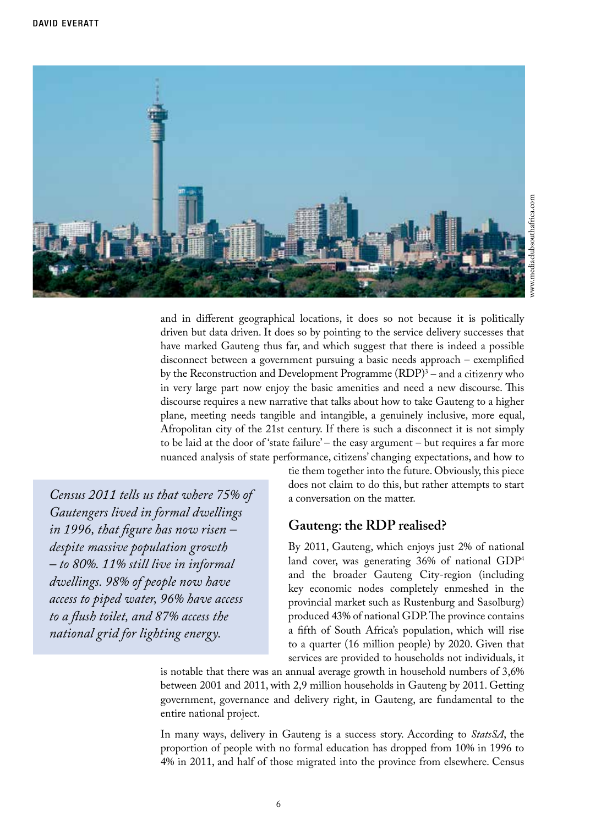

and in different geographical locations, it does so not because it is politically driven but data driven. It does so by pointing to the service delivery successes that have marked Gauteng thus far, and which suggest that there is indeed a possible disconnect between a government pursuing a basic needs approach – exemplified by the Reconstruction and Development Programme (RDP)<sup>3</sup> – and a citizenry who in very large part now enjoy the basic amenities and need a new discourse. This discourse requires a new narrative that talks about how to take Gauteng to a higher plane, meeting needs tangible and intangible, a genuinely inclusive, more equal, Afropolitan city of the 21st century. If there is such a disconnect it is not simply to be laid at the door of 'state failure' – the easy argument – but requires a far more nuanced analysis of state performance, citizens' changing expectations, and how to

*Census 2011 tells us that where 75% of Gautengers lived in formal dwellings in 1996, that figure has now risen – despite massive population growth – to 80%. 11% still live in informal dwellings. 98% of people now have access to piped water, 96% have access to a flush toilet, and 87% access the national grid for lighting energy.*

tie them together into the future. Obviously, this piece does not claim to do this, but rather attempts to start a conversation on the matter.

#### **Gauteng: the RDP realised?**

By 2011, Gauteng, which enjoys just 2% of national land cover, was generating 36% of national GDP4 and the broader Gauteng City-region (including key economic nodes completely enmeshed in the provincial market such as Rustenburg and Sasolburg) produced 43% of national GDP. The province contains a fifth of South Africa's population, which will rise to a quarter (16 million people) by 2020. Given that services are provided to households not individuals, it

is notable that there was an annual average growth in household numbers of 3,6% between 2001 and 2011, with 2,9 million households in Gauteng by 2011. Getting government, governance and delivery right, in Gauteng, are fundamental to the entire national project.

In many ways, delivery in Gauteng is a success story. According to *StatsSA*, the proportion of people with no formal education has dropped from 10% in 1996 to 4% in 2011, and half of those migrated into the province from elsewhere. Census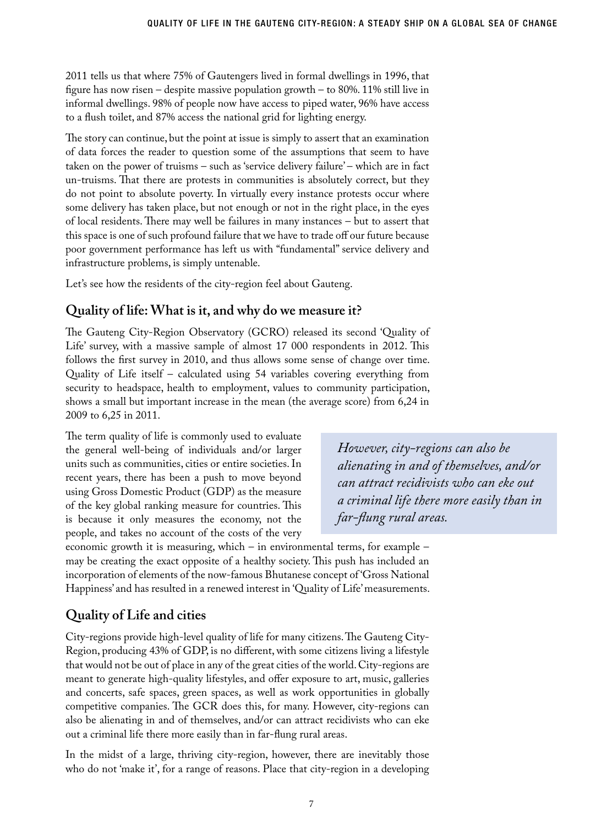2011 tells us that where 75% of Gautengers lived in formal dwellings in 1996, that figure has now risen – despite massive population growth – to 80%. 11% still live in informal dwellings. 98% of people now have access to piped water, 96% have access to a flush toilet, and 87% access the national grid for lighting energy.

The story can continue, but the point at issue is simply to assert that an examination of data forces the reader to question some of the assumptions that seem to have taken on the power of truisms – such as 'service delivery failure' – which are in fact un-truisms. That there are protests in communities is absolutely correct, but they do not point to absolute poverty. In virtually every instance protests occur where some delivery has taken place, but not enough or not in the right place, in the eyes of local residents. There may well be failures in many instances – but to assert that this space is one of such profound failure that we have to trade off our future because poor government performance has left us with "fundamental" service delivery and infrastructure problems, is simply untenable.

Let's see how the residents of the city-region feel about Gauteng.

#### **Quality of life: What is it, and why do we measure it?**

The Gauteng City-Region Observatory (GCRO) released its second 'Quality of Life' survey, with a massive sample of almost 17 000 respondents in 2012. This follows the first survey in 2010, and thus allows some sense of change over time. Quality of Life itself – calculated using 54 variables covering everything from security to headspace, health to employment, values to community participation, shows a small but important increase in the mean (the average score) from 6,24 in 2009 to 6,25 in 2011.

The term quality of life is commonly used to evaluate the general well-being of individuals and/or larger units such as communities, cities or entire societies. In recent years, there has been a push to move beyond using Gross Domestic Product (GDP) as the measure of the key global ranking measure for countries. This is because it only measures the economy, not the people, and takes no account of the costs of the very

*However, city-regions can also be alienating in and of themselves, and/or can attract recidivists who can eke out a criminal life there more easily than in far-flung rural areas.* 

economic growth it is measuring, which – in environmental terms, for example – may be creating the exact opposite of a healthy society. This push has included an incorporation of elements of the now-famous Bhutanese concept of 'Gross National Happiness' and has resulted in a renewed interest in 'Quality of Life' measurements.

## **Quality of Life and cities**

City-regions provide high-level quality of life for many citizens. The Gauteng City-Region, producing 43% of GDP, is no different, with some citizens living a lifestyle that would not be out of place in any of the great cities of the world. City-regions are meant to generate high-quality lifestyles, and offer exposure to art, music, galleries and concerts, safe spaces, green spaces, as well as work opportunities in globally competitive companies. The GCR does this, for many. However, city-regions can also be alienating in and of themselves, and/or can attract recidivists who can eke out a criminal life there more easily than in far-flung rural areas.

In the midst of a large, thriving city-region, however, there are inevitably those who do not 'make it', for a range of reasons. Place that city-region in a developing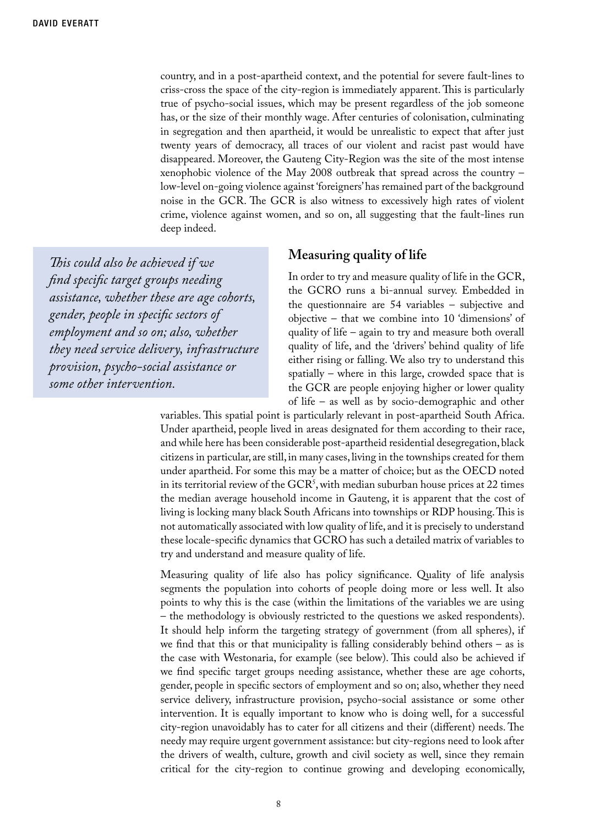country, and in a post-apartheid context, and the potential for severe fault-lines to criss-cross the space of the city-region is immediately apparent. This is particularly true of psycho-social issues, which may be present regardless of the job someone has, or the size of their monthly wage. After centuries of colonisation, culminating in segregation and then apartheid, it would be unrealistic to expect that after just twenty years of democracy, all traces of our violent and racist past would have disappeared. Moreover, the Gauteng City-Region was the site of the most intense xenophobic violence of the May 2008 outbreak that spread across the country – low-level on-going violence against 'foreigners' has remained part of the background noise in the GCR. The GCR is also witness to excessively high rates of violent crime, violence against women, and so on, all suggesting that the fault-lines run deep indeed.

*This could also be achieved if we find specific target groups needing assistance, whether these are age cohorts, gender, people in specific sectors of employment and so on; also, whether they need service delivery, infrastructure provision, psycho-social assistance or some other intervention.*

#### **Measuring quality of life**

In order to try and measure quality of life in the GCR, the GCRO runs a bi-annual survey. Embedded in the questionnaire are 54 variables – subjective and objective – that we combine into 10 'dimensions' of quality of life – again to try and measure both overall quality of life, and the 'drivers' behind quality of life either rising or falling. We also try to understand this spatially – where in this large, crowded space that is the GCR are people enjoying higher or lower quality of life – as well as by socio-demographic and other

variables. This spatial point is particularly relevant in post-apartheid South Africa. Under apartheid, people lived in areas designated for them according to their race, and while here has been considerable post-apartheid residential desegregation, black citizens in particular, are still, in many cases, living in the townships created for them under apartheid. For some this may be a matter of choice; but as the OECD noted in its territorial review of the  $GCR<sup>5</sup>$ , with median suburban house prices at 22 times the median average household income in Gauteng, it is apparent that the cost of living is locking many black South Africans into townships or RDP housing. This is not automatically associated with low quality of life, and it is precisely to understand these locale-specific dynamics that GCRO has such a detailed matrix of variables to try and understand and measure quality of life.

Measuring quality of life also has policy significance. Quality of life analysis segments the population into cohorts of people doing more or less well. It also points to why this is the case (within the limitations of the variables we are using – the methodology is obviously restricted to the questions we asked respondents). It should help inform the targeting strategy of government (from all spheres), if we find that this or that municipality is falling considerably behind others – as is the case with Westonaria, for example (see below). This could also be achieved if we find specific target groups needing assistance, whether these are age cohorts, gender, people in specific sectors of employment and so on; also, whether they need service delivery, infrastructure provision, psycho-social assistance or some other intervention. It is equally important to know who is doing well, for a successful city-region unavoidably has to cater for all citizens and their (different) needs. The needy may require urgent government assistance: but city-regions need to look after the drivers of wealth, culture, growth and civil society as well, since they remain critical for the city-region to continue growing and developing economically,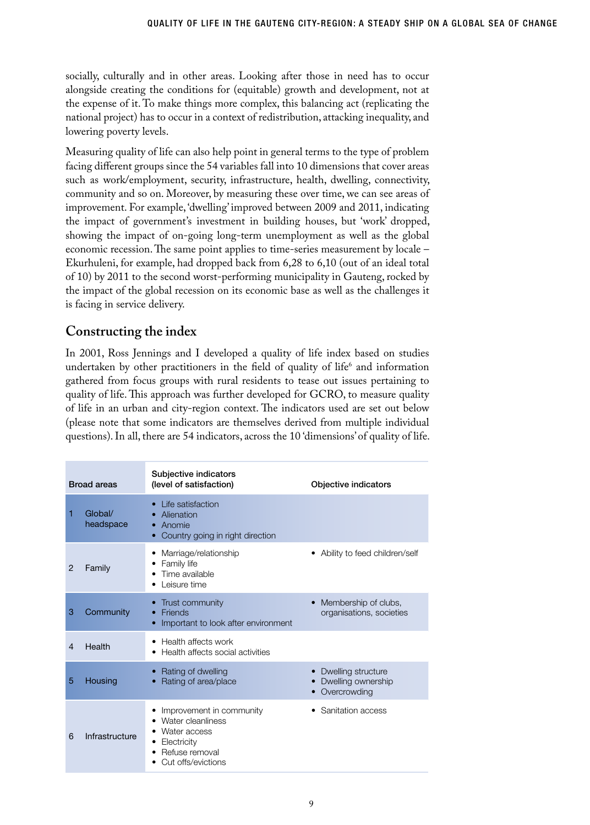socially, culturally and in other areas. Looking after those in need has to occur alongside creating the conditions for (equitable) growth and development, not at the expense of it. To make things more complex, this balancing act (replicating the national project) has to occur in a context of redistribution, attacking inequality, and lowering poverty levels.

Measuring quality of life can also help point in general terms to the type of problem facing different groups since the 54 variables fall into 10 dimensions that cover areas such as work/employment, security, infrastructure, health, dwelling, connectivity, community and so on. Moreover, by measuring these over time, we can see areas of improvement. For example, 'dwelling' improved between 2009 and 2011, indicating the impact of government's investment in building houses, but 'work' dropped, showing the impact of on-going long-term unemployment as well as the global economic recession. The same point applies to time-series measurement by locale – Ekurhuleni, for example, had dropped back from 6,28 to 6,10 (out of an ideal total of 10) by 2011 to the second worst-performing municipality in Gauteng, rocked by the impact of the global recession on its economic base as well as the challenges it is facing in service delivery.

## **Constructing the index**

In 2001, Ross Jennings and I developed a quality of life index based on studies undertaken by other practitioners in the field of quality of life<sup>6</sup> and information gathered from focus groups with rural residents to tease out issues pertaining to quality of life. This approach was further developed for GCRO, to measure quality of life in an urban and city-region context. The indicators used are set out below (please note that some indicators are themselves derived from multiple individual questions). In all, there are 54 indicators, across the 10 'dimensions' of quality of life.

| <b>Broad areas</b> |                      | Subjective indicators<br>(level of satisfaction)                                                                                    | Objective indicators                                     |
|--------------------|----------------------|-------------------------------------------------------------------------------------------------------------------------------------|----------------------------------------------------------|
| 1                  | Global/<br>headspace | Life satisfaction<br>$\bullet$<br>Alienation<br>Anomie<br>۰<br>Country going in right direction                                     |                                                          |
| 2                  | Family               | Marriage/relationship<br>٠<br>Family life<br>٠<br>Time available<br>٠<br>Leisure time                                               | Ability to feed children/self<br>٠                       |
| 3                  | Community            | Trust community<br>Friends<br>Important to look after environment                                                                   | Membership of clubs,<br>organisations, societies         |
| $\overline{4}$     | Health               | Health affects work<br>٠<br>Health affects social activities<br>٠                                                                   |                                                          |
| 5                  | Housing              | Rating of dwelling<br>Rating of area/place                                                                                          | Dwelling structure<br>Dwelling ownership<br>Overcrowding |
| 6                  | Infrastructure       | Improvement in community<br>٠<br>Water cleanliness<br>Water access<br>Electricity<br>٠<br>Refuse removal<br>٠<br>Cut offs/evictions | Sanitation access<br>٠                                   |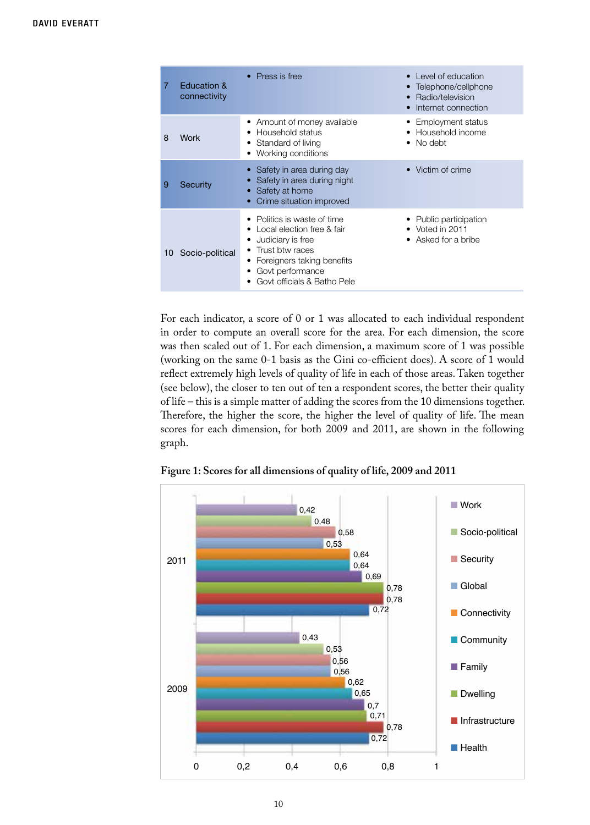| $\overline{7}$ | Education &<br>connectivity | $\bullet$ Press is free                                                                                                                                                          | Level of education<br>Telephone/cellphone<br>Radio/television<br>Internet connection |
|----------------|-----------------------------|----------------------------------------------------------------------------------------------------------------------------------------------------------------------------------|--------------------------------------------------------------------------------------|
| 8              | Work                        | Amount of money available<br>Household status<br>Standard of living<br>Working conditions                                                                                        | • Employment status<br>Household income<br>No debt                                   |
| 9              | Security                    | Safety in area during day<br>Safety in area during night<br>Safety at home<br>Crime situation improved                                                                           | • Victim of crime                                                                    |
| 10             | Socio-political             | Politics is waste of time<br>Local election free & fair<br>Judiciary is free<br>Trust btw races<br>Foreigners taking benefits<br>Govt performance<br>Govt officials & Batho Pele | • Public participation<br>$\bullet$ Voted in 2011<br>• Asked for a bribe             |

For each indicator, a score of 0 or 1 was allocated to each individual respondent in order to compute an overall score for the area. For each dimension, the score was then scaled out of 1. For each dimension, a maximum score of 1 was possible (working on the same 0-1 basis as the Gini co-efficient does). A score of 1 would reflect extremely high levels of quality of life in each of those areas. Taken together (see below), the closer to ten out of ten a respondent scores, the better their quality of life – this is a simple matter of adding the scores from the 10 dimensions together. Therefore, the higher the score, the higher the level of quality of life. The mean scores for each dimension, for both 2009 and 2011, are shown in the following graph.



**Figure 1: Scores for all dimensions of quality of life, 2009 and 2011**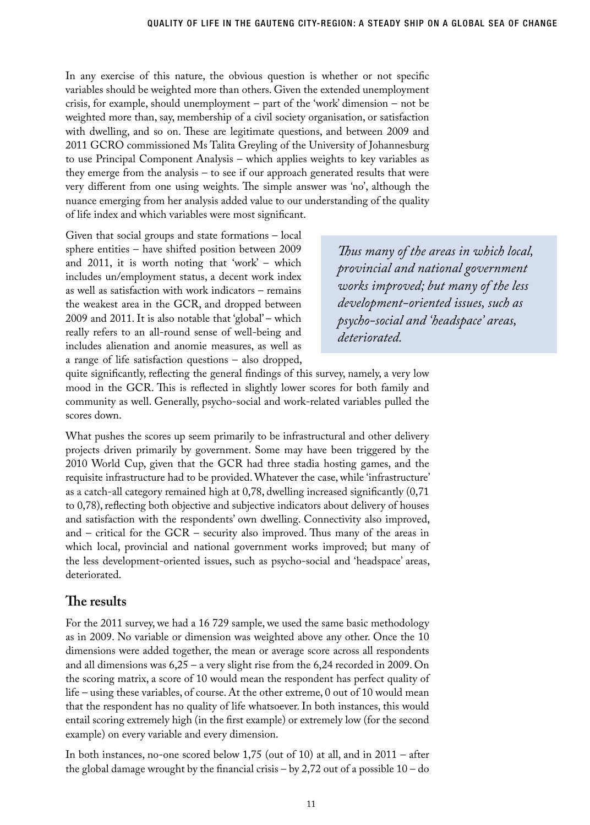In any exercise of this nature, the obvious question is whether or not specific variables should be weighted more than others. Given the extended unemployment crisis, for example, should unemployment – part of the 'work' dimension – not be weighted more than, say, membership of a civil society organisation, or satisfaction with dwelling, and so on. These are legitimate questions, and between 2009 and 2011 GCRO commissioned Ms Talita Greyling of the University of Johannesburg to use Principal Component Analysis – which applies weights to key variables as they emerge from the analysis – to see if our approach generated results that were very different from one using weights. The simple answer was 'no', although the nuance emerging from her analysis added value to our understanding of the quality of life index and which variables were most significant.

Given that social groups and state formations – local sphere entities – have shifted position between 2009 and 2011, it is worth noting that 'work' – which includes un/employment status, a decent work index as well as satisfaction with work indicators – remains the weakest area in the GCR, and dropped between 2009 and 2011. It is also notable that 'global' – which really refers to an all-round sense of well-being and includes alienation and anomie measures, as well as a range of life satisfaction questions – also dropped,

*Thus many of the areas in which local, provincial and national government works improved; but many of the less development-oriented issues, such as psycho-social and 'headspace' areas, deteriorated.* 

quite significantly, reflecting the general findings of this survey, namely, a very low mood in the GCR. This is reflected in slightly lower scores for both family and community as well. Generally, psycho-social and work-related variables pulled the scores down.

What pushes the scores up seem primarily to be infrastructural and other delivery projects driven primarily by government. Some may have been triggered by the 2010 World Cup, given that the GCR had three stadia hosting games, and the requisite infrastructure had to be provided. Whatever the case, while 'infrastructure' as a catch-all category remained high at 0,78, dwelling increased significantly (0,71 to 0,78), reflecting both objective and subjective indicators about delivery of houses and satisfaction with the respondents' own dwelling. Connectivity also improved, and – critical for the GCR – security also improved. Thus many of the areas in which local, provincial and national government works improved; but many of the less development-oriented issues, such as psycho-social and 'headspace' areas, deteriorated.

## **The results**

For the 2011 survey, we had a 16 729 sample, we used the same basic methodology as in 2009. No variable or dimension was weighted above any other. Once the 10 dimensions were added together, the mean or average score across all respondents and all dimensions was 6,25 – a very slight rise from the 6,24 recorded in 2009. On the scoring matrix, a score of 10 would mean the respondent has perfect quality of life – using these variables, of course. At the other extreme, 0 out of 10 would mean that the respondent has no quality of life whatsoever. In both instances, this would entail scoring extremely high (in the first example) or extremely low (for the second example) on every variable and every dimension.

In both instances, no-one scored below 1,75 (out of 10) at all, and in 2011 – after the global damage wrought by the financial crisis – by 2,72 out of a possible 10 – do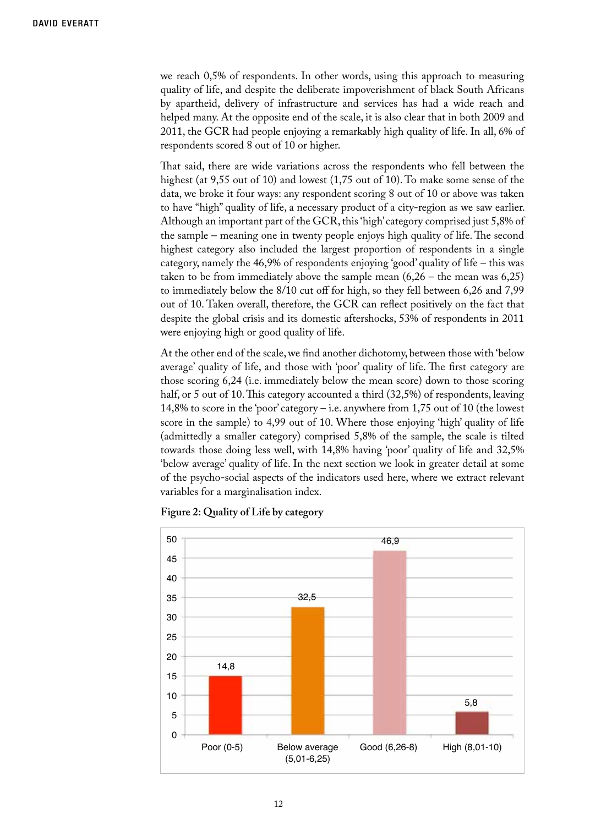we reach 0,5% of respondents. In other words, using this approach to measuring quality of life, and despite the deliberate impoverishment of black South Africans by apartheid, delivery of infrastructure and services has had a wide reach and helped many. At the opposite end of the scale, it is also clear that in both 2009 and 2011, the GCR had people enjoying a remarkably high quality of life. In all, 6% of respondents scored 8 out of 10 or higher.

That said, there are wide variations across the respondents who fell between the highest (at 9,55 out of 10) and lowest (1,75 out of 10). To make some sense of the data, we broke it four ways: any respondent scoring 8 out of 10 or above was taken to have "high" quality of life, a necessary product of a city-region as we saw earlier. Although an important part of the GCR, this 'high' category comprised just 5,8% of the sample – meaning one in twenty people enjoys high quality of life. The second highest category also included the largest proportion of respondents in a single category, namely the 46,9% of respondents enjoying 'good' quality of life – this was taken to be from immediately above the sample mean  $(6,26 -$  the mean was  $6,25)$ to immediately below the 8/10 cut off for high, so they fell between 6,26 and 7,99 out of 10. Taken overall, therefore, the GCR can reflect positively on the fact that despite the global crisis and its domestic aftershocks, 53% of respondents in 2011 were enjoying high or good quality of life.

At the other end of the scale, we find another dichotomy, between those with 'below average' quality of life, and those with 'poor' quality of life. The first category are those scoring 6,24 (i.e. immediately below the mean score) down to those scoring half, or 5 out of 10. This category accounted a third (32,5%) of respondents, leaving 14,8% to score in the 'poor' category – i.e. anywhere from 1,75 out of 10 (the lowest score in the sample) to 4,99 out of 10. Where those enjoying 'high' quality of life (admittedly a smaller category) comprised 5,8% of the sample, the scale is tilted towards those doing less well, with 14,8% having 'poor' quality of life and 32,5% 'below average' quality of life. In the next section we look in greater detail at some of the psycho-social aspects of the indicators used here, where we extract relevant variables for a marginalisation index.



**Figure 2: Quality of Life by category**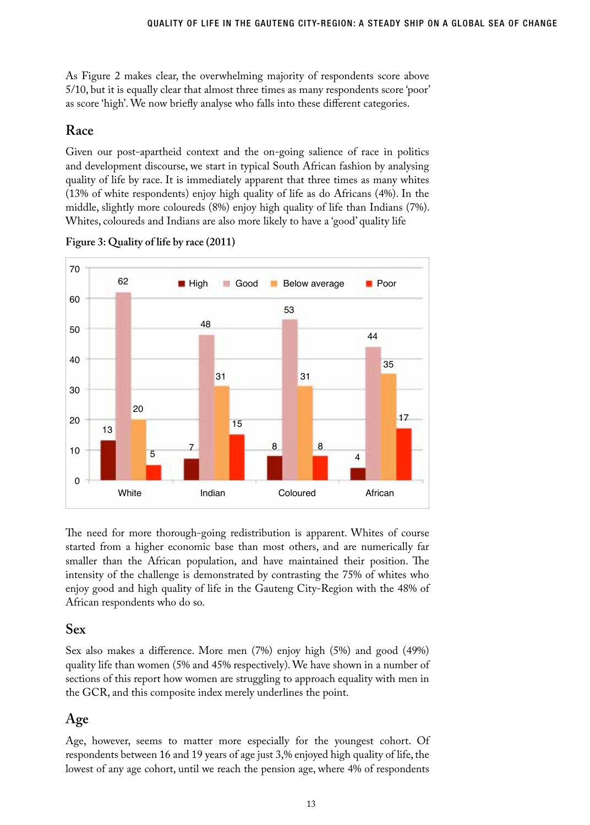As Figure 2 makes clear, the overwhelming majority of respondents score above 5/10, but it is equally clear that almost three times as many respondents score 'poor' as score 'high'. We now briefly analyse who falls into these different categories.

## **Race**

Given our post-apartheid context and the on-going salience of race in politics and development discourse, we start in typical South African fashion by analysing quality of life by race. It is immediately apparent that three times as many whites (13% of white respondents) enjoy high quality of life as do Africans (4%). In the middle, slightly more coloureds (8%) enjoy high quality of life than Indians (7%). Whites, coloureds and Indians are also more likely to have a 'good' quality life



**Figure 3: Quality of life by race (2011)**

The need for more thorough-going redistribution is apparent. Whites of course started from a higher economic base than most others, and are numerically far smaller than the African population, and have maintained their position. The intensity of the challenge is demonstrated by contrasting the 75% of whites who enjoy good and high quality of life in the Gauteng City-Region with the 48% of African respondents who do so.

## **Sex**

Sex also makes a difference. More men (7%) enjoy high (5%) and good (49%) quality life than women (5% and 45% respectively). We have shown in a number of sections of this report how women are struggling to approach equality with men in the GCR, and this composite index merely underlines the point.

## **Age**

Age, however, seems to matter more especially for the youngest cohort. Of respondents between 16 and 19 years of age just 3,% enjoyed high quality of life, the lowest of any age cohort, until we reach the pension age, where 4% of respondents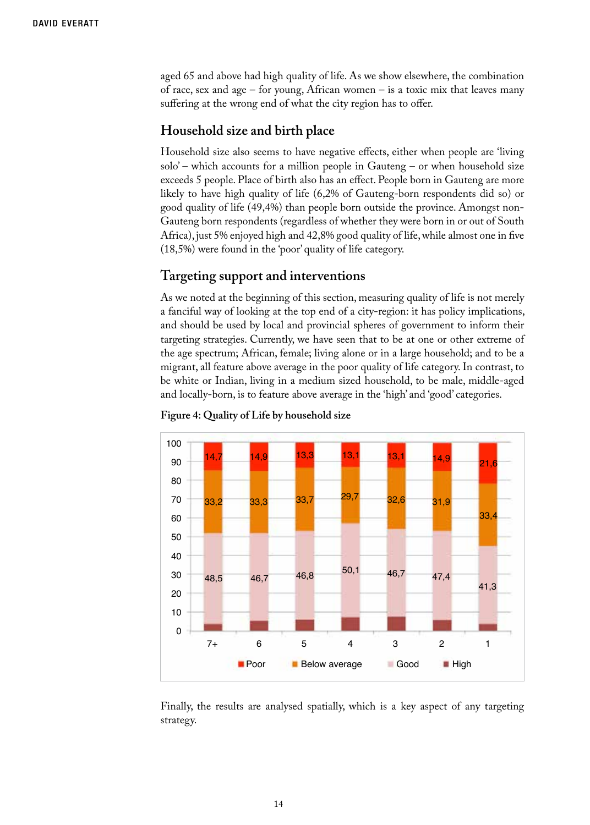aged 65 and above had high quality of life. As we show elsewhere, the combination of race, sex and age – for young, African women – is a toxic mix that leaves many suffering at the wrong end of what the city region has to offer.

#### **Household size and birth place**

Household size also seems to have negative effects, either when people are 'living solo' – which accounts for a million people in Gauteng – or when household size exceeds 5 people. Place of birth also has an effect. People born in Gauteng are more likely to have high quality of life (6,2% of Gauteng-born respondents did so) or good quality of life (49,4%) than people born outside the province. Amongst non-Gauteng born respondents (regardless of whether they were born in or out of South Africa), just 5% enjoyed high and 42,8% good quality of life, while almost one in five (18,5%) were found in the 'poor' quality of life category.

#### **Targeting support and interventions**

As we noted at the beginning of this section, measuring quality of life is not merely a fanciful way of looking at the top end of a city-region: it has policy implications, and should be used by local and provincial spheres of government to inform their targeting strategies. Currently, we have seen that to be at one or other extreme of the age spectrum; African, female; living alone or in a large household; and to be a migrant, all feature above average in the poor quality of life category. In contrast, to be white or Indian, living in a medium sized household, to be male, middle-aged and locally-born, is to feature above average in the 'high' and 'good' categories.



#### **Figure 4: Quality of Life by household size**

Finally, the results are analysed spatially, which is a key aspect of any targeting strategy.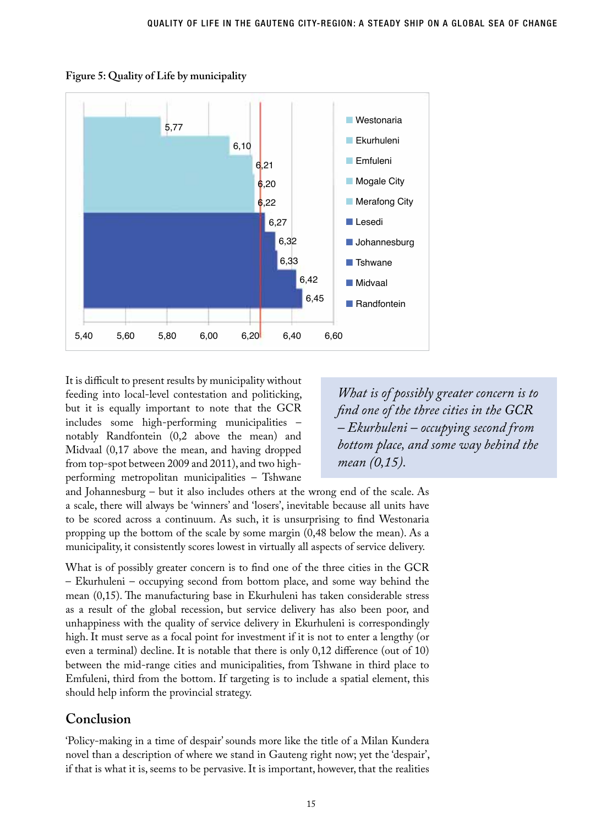

**Figure 5: Quality of Life by municipality**

It is difficult to present results by municipality without feeding into local-level contestation and politicking, but it is equally important to note that the GCR includes some high-performing municipalities – notably Randfontein (0,2 above the mean) and Midvaal (0,17 above the mean, and having dropped from top-spot between 2009 and 2011), and two highperforming metropolitan municipalities – Tshwane

*What is of possibly greater concern is to find one of the three cities in the GCR – Ekurhuleni – occupying second from bottom place, and some way behind the mean (0,15).* 

and Johannesburg – but it also includes others at the wrong end of the scale. As a scale, there will always be 'winners' and 'losers', inevitable because all units have to be scored across a continuum. As such, it is unsurprising to find Westonaria propping up the bottom of the scale by some margin (0,48 below the mean). As a municipality, it consistently scores lowest in virtually all aspects of service delivery.

What is of possibly greater concern is to find one of the three cities in the GCR – Ekurhuleni – occupying second from bottom place, and some way behind the mean (0,15). The manufacturing base in Ekurhuleni has taken considerable stress as a result of the global recession, but service delivery has also been poor, and unhappiness with the quality of service delivery in Ekurhuleni is correspondingly high. It must serve as a focal point for investment if it is not to enter a lengthy (or even a terminal) decline. It is notable that there is only 0,12 difference (out of 10) between the mid-range cities and municipalities, from Tshwane in third place to Emfuleni, third from the bottom. If targeting is to include a spatial element, this should help inform the provincial strategy.

## **Conclusion**

'Policy-making in a time of despair' sounds more like the title of a Milan Kundera novel than a description of where we stand in Gauteng right now; yet the 'despair', if that is what it is, seems to be pervasive. It is important, however, that the realities